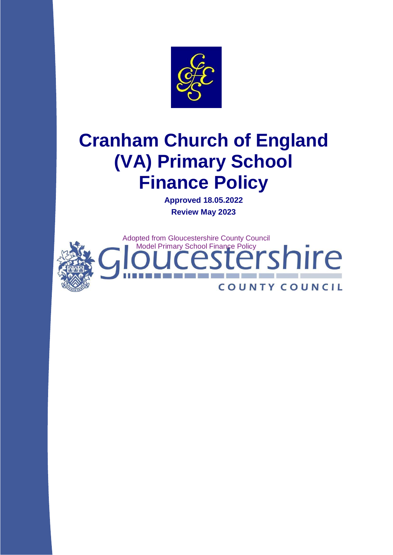

# **Cranham Church of England (VA) Primary School Finance Policy**

**Approved 18.05.2022 Review May 2023**

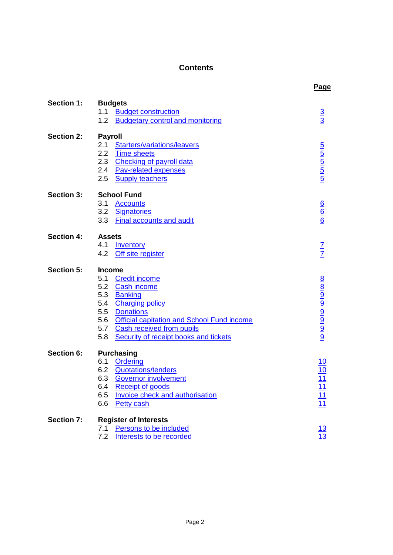# **Contents**

<span id="page-1-0"></span>

|                   |                                                                                                                                                                                                                                                           | Page                                                          |
|-------------------|-----------------------------------------------------------------------------------------------------------------------------------------------------------------------------------------------------------------------------------------------------------|---------------------------------------------------------------|
| Section 1:        | <b>Budgets</b><br>1.1 Budget construction                                                                                                                                                                                                                 | $\frac{3}{3}$                                                 |
|                   | 1.2<br><b>Budgetary control and monitoring</b>                                                                                                                                                                                                            |                                                               |
| Section 2:        | <b>Payroll</b><br>2.1 Starters/variations/leavers<br>2.2 Time sheets                                                                                                                                                                                      |                                                               |
|                   | 2.3 Checking of payroll data<br>2.4 Pay-related expenses<br>2.5 Supply teachers                                                                                                                                                                           | <b>Sanda Sanda Sanda</b>                                      |
| <b>Section 3:</b> | <b>School Fund</b><br>3.1<br><b>Accounts</b><br>3.2 Signatories<br>3.3 Final accounts and audit                                                                                                                                                           | $\frac{6}{6}$                                                 |
| <b>Section 4:</b> | <b>Assets</b><br>4.1<br><b>Inventory</b><br>4.2 Off site register                                                                                                                                                                                         | $\frac{7}{7}$                                                 |
| <b>Section 5:</b> | <b>Income</b><br>5.1<br><b>Credit income</b><br>5.2 Cash income<br>5.3 Banking<br>5.4 Charging policy<br>5.5 Donations<br>5.6 Official capitation and School Fund income<br>5.7 Cash received from pupils<br>5.8<br>Security of receipt books and tickets | alona do lona do loa do                                       |
| Section 6:        | <b>Purchasing</b><br>6.1<br><b>Ordering</b><br>6.2 Quotations/tenders<br>6.3 Governor involvement<br><b>Receipt of goods</b><br>6.4<br><b>Invoice check and authorisation</b><br>6.5<br>6.6<br><b>Petty cash</b>                                          | $\frac{10}{10}$<br>$\frac{11}{11}$<br>$\frac{11}{11}$<br>$11$ |
| <b>Section 7:</b> | <b>Register of Interests</b><br>7.1<br>Persons to be included<br>7.2<br>Interests to be recorded                                                                                                                                                          | $\frac{13}{13}$                                               |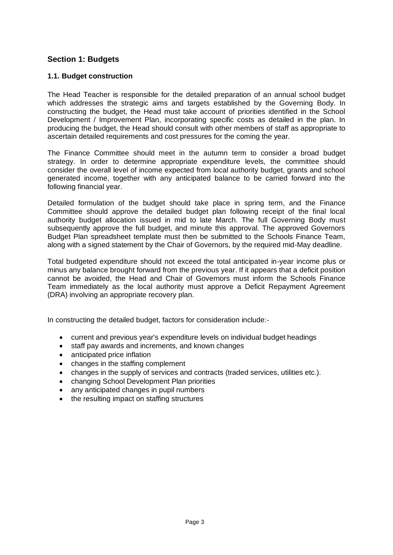# **Section 1: Budgets**

## <span id="page-2-0"></span>**1.1. Budget construction**

The Head Teacher is responsible for the detailed preparation of an annual school budget which addresses the strategic aims and targets established by the Governing Body. In constructing the budget, the Head must take account of priorities identified in the School Development / Improvement Plan, incorporating specific costs as detailed in the plan. In producing the budget, the Head should consult with other members of staff as appropriate to ascertain detailed requirements and cost pressures for the coming the year.

The Finance Committee should meet in the autumn term to consider a broad budget strategy. In order to determine appropriate expenditure levels, the committee should consider the overall level of income expected from local authority budget, grants and school generated income, together with any anticipated balance to be carried forward into the following financial year.

Detailed formulation of the budget should take place in spring term, and the Finance Committee should approve the detailed budget plan following receipt of the final local authority budget allocation issued in mid to late March. The full Governing Body must subsequently approve the full budget, and minute this approval. The approved Governors Budget Plan spreadsheet template must then be submitted to the Schools Finance Team, along with a signed statement by the Chair of Governors, by the required mid-May deadline.

Total budgeted expenditure should not exceed the total anticipated in-year income plus or minus any balance brought forward from the previous year. If it appears that a deficit position cannot be avoided, the Head and Chair of Governors must inform the Schools Finance Team immediately as the local authority must approve a Deficit Repayment Agreement (DRA) involving an appropriate recovery plan.

In constructing the detailed budget, factors for consideration include:-

- current and previous year's expenditure levels on individual budget headings
- staff pay awards and increments, and known changes
- anticipated price inflation
- changes in the staffing complement
- changes in the supply of services and contracts (traded services, utilities etc.).
- changing School Development Plan priorities
- any anticipated changes in pupil numbers
- the resulting impact on staffing structures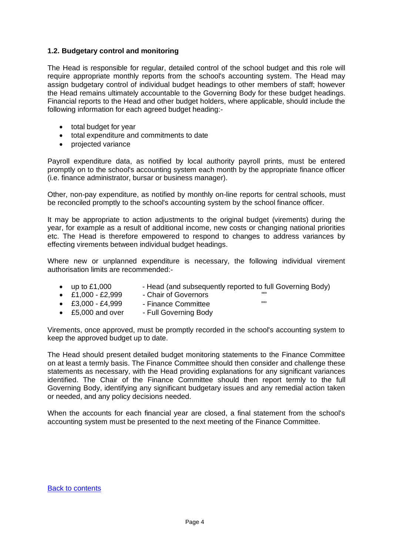## <span id="page-3-0"></span>**1.2. Budgetary control and monitoring**

The Head is responsible for regular, detailed control of the school budget and this role will require appropriate monthly reports from the school's accounting system. The Head may assign budgetary control of individual budget headings to other members of staff; however the Head remains ultimately accountable to the Governing Body for these budget headings. Financial reports to the Head and other budget holders, where applicable, should include the following information for each agreed budget heading:-

- total budget for year
- total expenditure and commitments to date
- projected variance

Payroll expenditure data, as notified by local authority payroll prints, must be entered promptly on to the school's accounting system each month by the appropriate finance officer (i.e. finance administrator, bursar or business manager).

Other, non-pay expenditure, as notified by monthly on-line reports for central schools, must be reconciled promptly to the school's accounting system by the school finance officer.

It may be appropriate to action adjustments to the original budget (virements) during the year, for example as a result of additional income, new costs or changing national priorities etc. The Head is therefore empowered to respond to changes to address variances by effecting virements between individual budget headings.

Where new or unplanned expenditure is necessary, the following individual virement authorisation limits are recommended:-

- up to £1,000 Head (and subsequently reported to full Governing Body)
- £1,000 £2,999 Chair of Governors ""
- £3,000 £4,999 Finance Committee
- £5,000 and over Full Governing Body

Virements, once approved, must be promptly recorded in the school's accounting system to keep the approved budget up to date.

The Head should present detailed budget monitoring statements to the Finance Committee on at least a termly basis. The Finance Committee should then consider and challenge these statements as necessary, with the Head providing explanations for any significant variances identified. The Chair of the Finance Committee should then report termly to the full Governing Body, identifying any significant budgetary issues and any remedial action taken or needed, and any policy decisions needed.

When the accounts for each financial year are closed, a final statement from the school's accounting system must be presented to the next meeting of the Finance Committee.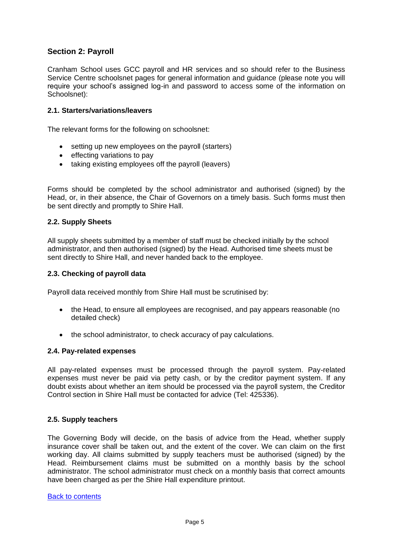# **Section 2: Payroll**

Cranham School uses GCC payroll and HR services and so should refer to the Business Service Centre schoolsnet pages for general information and guidance (please note you will require your school's assigned log-in and password to access some of the information on Schoolsnet):

## <span id="page-4-0"></span>**2.1. Starters/variations/leavers**

The relevant forms for the following on schoolsnet:

- setting up new employees on the payroll (starters)
- effecting variations to pay
- taking existing employees off the payroll (leavers)

Forms should be completed by the school administrator and authorised (signed) by the Head, or, in their absence, the Chair of Governors on a timely basis. Such forms must then be sent directly and promptly to Shire Hall.

## <span id="page-4-1"></span>**2.2. Supply Sheets**

All supply sheets submitted by a member of staff must be checked initially by the school administrator, and then authorised (signed) by the Head. Authorised time sheets must be sent directly to Shire Hall, and never handed back to the employee.

#### <span id="page-4-2"></span>**2.3. Checking of payroll data**

Payroll data received monthly from Shire Hall must be scrutinised by:

- the Head, to ensure all employees are recognised, and pay appears reasonable (no detailed check)
- the school administrator, to check accuracy of pay calculations.

#### <span id="page-4-3"></span>**2.4. Pay-related expenses**

All pay-related expenses must be processed through the payroll system. Pay-related expenses must never be paid via petty cash, or by the creditor payment system. If any doubt exists about whether an item should be processed via the payroll system, the Creditor Control section in Shire Hall must be contacted for advice (Tel: 425336).

#### <span id="page-4-4"></span>**2.5. Supply teachers**

The Governing Body will decide, on the basis of advice from the Head, whether supply insurance cover shall be taken out, and the extent of the cover. We can claim on the first working day. All claims submitted by supply teachers must be authorised (signed) by the Head. Reimbursement claims must be submitted on a monthly basis by the school administrator. The school administrator must check on a monthly basis that correct amounts have been charged as per the Shire Hall expenditure printout.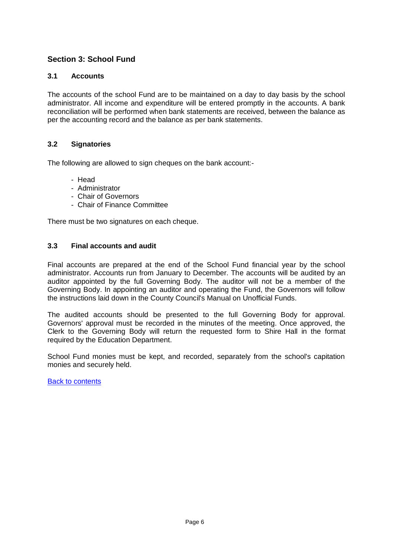# **Section 3: School Fund**

# <span id="page-5-0"></span>**3.1 Accounts**

The accounts of the school Fund are to be maintained on a day to day basis by the school administrator. All income and expenditure will be entered promptly in the accounts. A bank reconciliation will be performed when bank statements are received, between the balance as per the accounting record and the balance as per bank statements.

# <span id="page-5-1"></span>**3.2 Signatories**

The following are allowed to sign cheques on the bank account:-

- Head
- Administrator
- Chair of Governors
- Chair of Finance Committee

There must be two signatures on each cheque.

# <span id="page-5-2"></span>**3.3 Final accounts and audit**

Final accounts are prepared at the end of the School Fund financial year by the school administrator. Accounts run from January to December. The accounts will be audited by an auditor appointed by the full Governing Body. The auditor will not be a member of the Governing Body. In appointing an auditor and operating the Fund, the Governors will follow the instructions laid down in the County Council's Manual on Unofficial Funds.

The audited accounts should be presented to the full Governing Body for approval. Governors' approval must be recorded in the minutes of the meeting. Once approved, the Clerk to the Governing Body will return the requested form to Shire Hall in the format required by the Education Department.

School Fund monies must be kept, and recorded, separately from the school's capitation monies and securely held.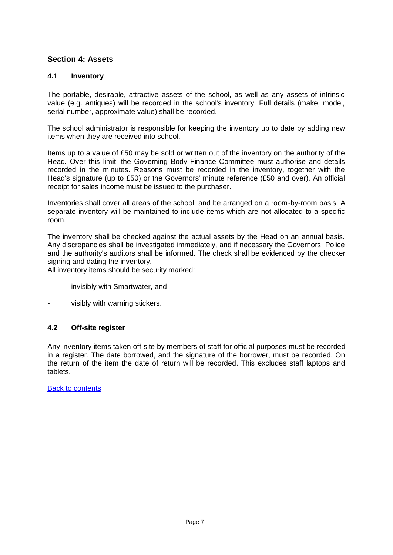# **Section 4: Assets**

## <span id="page-6-0"></span>**4.1 Inventory**

The portable, desirable, attractive assets of the school, as well as any assets of intrinsic value (e.g. antiques) will be recorded in the school's inventory. Full details (make, model, serial number, approximate value) shall be recorded.

The school administrator is responsible for keeping the inventory up to date by adding new items when they are received into school.

Items up to a value of £50 may be sold or written out of the inventory on the authority of the Head. Over this limit, the Governing Body Finance Committee must authorise and details recorded in the minutes. Reasons must be recorded in the inventory, together with the Head's signature (up to £50) or the Governors' minute reference (£50 and over). An official receipt for sales income must be issued to the purchaser.

Inventories shall cover all areas of the school, and be arranged on a room-by-room basis. A separate inventory will be maintained to include items which are not allocated to a specific room.

The inventory shall be checked against the actual assets by the Head on an annual basis. Any discrepancies shall be investigated immediately, and if necessary the Governors, Police and the authority's auditors shall be informed. The check shall be evidenced by the checker signing and dating the inventory.

All inventory items should be security marked:

- invisibly with Smartwater, and
- visibly with warning stickers.

# <span id="page-6-1"></span>**4.2 Off-site register**

Any inventory items taken off-site by members of staff for official purposes must be recorded in a register. The date borrowed, and the signature of the borrower, must be recorded. On the return of the item the date of return will be recorded. This excludes staff laptops and tablets.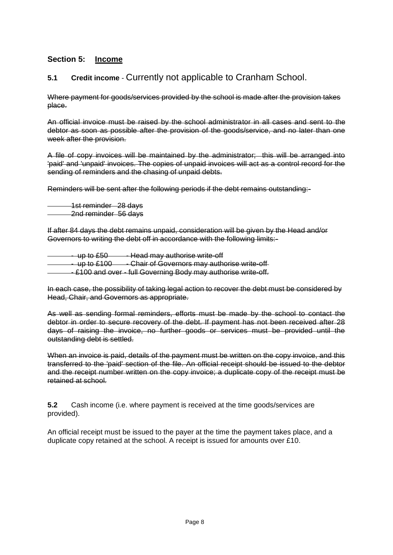# <span id="page-7-2"></span>**Section 5: Income**

# <span id="page-7-0"></span>**5.1 Credit income** - Currently not applicable to Cranham School.

Where payment for goods/services provided by the school is made after the provision takes place.

An official invoice must be raised by the school administrator in all cases and sent to the debtor as soon as possible after the provision of the goods/service, and no later than one week after the provision.

A file of copy invoices will be maintained by the administrator; this will be arranged into 'paid' and 'unpaid' invoices. The copies of unpaid invoices will act as a control record for the sending of reminders and the chasing of unpaid debts.

Reminders will be sent after the following periods if the debt remains outstanding:-

1st reminder 28 days 2nd reminder 56 days

If after 84 days the debt remains unpaid, consideration will be given by the Head and/or Governors to writing the debt off in accordance with the following limits:-

- up to £50 - - Head may authorise write-off - up to £100 - - Chair of Governors may authorise write-off - £100 and over - full Governing Body may authorise write-off.

In each case, the possibility of taking legal action to recover the debt must be considered by Head, Chair, and Governors as appropriate.

As well as sending formal reminders, efforts must be made by the school to contact the debtor in order to secure recovery of the debt. If payment has not been received after 28 days of raising the invoice, no further goods or services must be provided until the outstanding debt is settled.

When an invoice is paid, details of the payment must be written on the copy invoice, and this transferred to the 'paid' section of the file. An official receipt should be issued to the debtor and the receipt number written on the copy invoice; a duplicate copy of the receipt must be retained at school.

<span id="page-7-1"></span>**5.2** Cash income (i.e. where payment is received at the time goods/services are provided).

An official receipt must be issued to the payer at the time the payment takes place, and a duplicate copy retained at the school. A receipt is issued for amounts over £10.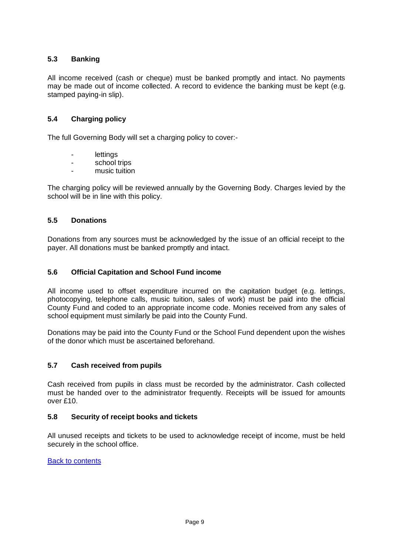# **5.3 Banking**

All income received (cash or cheque) must be banked promptly and intact. No payments may be made out of income collected. A record to evidence the banking must be kept (e.g. stamped paying-in slip).

## <span id="page-8-0"></span>**5.4 Charging policy**

The full Governing Body will set a charging policy to cover:-

- lettings
- school trips
- music tuition

The charging policy will be reviewed annually by the Governing Body. Charges levied by the school will be in line with this policy.

## <span id="page-8-1"></span>**5.5 Donations**

Donations from any sources must be acknowledged by the issue of an official receipt to the payer. All donations must be banked promptly and intact.

## <span id="page-8-2"></span>**5.6 Official Capitation and School Fund income**

All income used to offset expenditure incurred on the capitation budget (e.g. lettings, photocopying, telephone calls, music tuition, sales of work) must be paid into the official County Fund and coded to an appropriate income code. Monies received from any sales of school equipment must similarly be paid into the County Fund.

Donations may be paid into the County Fund or the School Fund dependent upon the wishes of the donor which must be ascertained beforehand.

## <span id="page-8-3"></span>**5.7 Cash received from pupils**

Cash received from pupils in class must be recorded by the administrator. Cash collected must be handed over to the administrator frequently. Receipts will be issued for amounts over £10.

## <span id="page-8-4"></span>**5.8 Security of receipt books and tickets**

All unused receipts and tickets to be used to acknowledge receipt of income, must be held securely in the school office.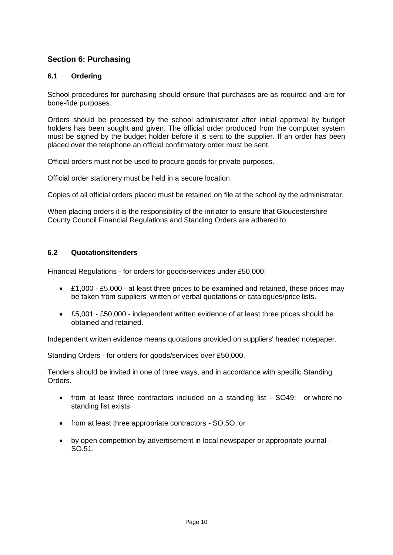# **Section 6: Purchasing**

# <span id="page-9-0"></span>**6.1 Ordering**

School procedures for purchasing should ensure that purchases are as required and are for bone-fide purposes.

Orders should be processed by the school administrator after initial approval by budget holders has been sought and given. The official order produced from the computer system must be signed by the budget holder before it is sent to the supplier. If an order has been placed over the telephone an official confirmatory order must be sent.

Official orders must not be used to procure goods for private purposes.

Official order stationery must be held in a secure location.

Copies of all official orders placed must be retained on file at the school by the administrator.

When placing orders it is the responsibility of the initiator to ensure that Gloucestershire County Council Financial Regulations and Standing Orders are adhered to.

## <span id="page-9-1"></span>**6.2 Quotations/tenders**

Financial Regulations - for orders for goods/services under £50,000:

- £1,000 £5,000 at least three prices to be examined and retained, these prices may be taken from suppliers' written or verbal quotations or catalogues/price lists.
- £5,001 £50,000 independent written evidence of at least three prices should be obtained and retained.

Independent written evidence means quotations provided on suppliers' headed notepaper.

Standing Orders - for orders for goods/services over £50,000.

Tenders should be invited in one of three ways, and in accordance with specific Standing Orders.

- from at least three contractors included on a standing list SO49; or where no standing list exists
- from at least three appropriate contractors SO.5O, or
- <span id="page-9-2"></span> by open competition by advertisement in local newspaper or appropriate journal - SO.51.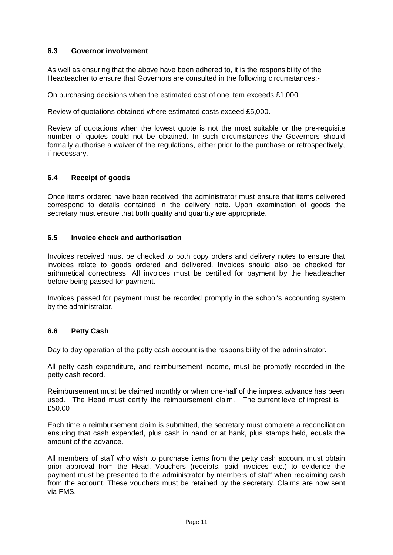## **6.3 Governor involvement**

As well as ensuring that the above have been adhered to, it is the responsibility of the Headteacher to ensure that Governors are consulted in the following circumstances:-

On purchasing decisions when the estimated cost of one item exceeds £1,000

Review of quotations obtained where estimated costs exceed £5,000.

Review of quotations when the lowest quote is not the most suitable or the pre-requisite number of quotes could not be obtained. In such circumstances the Governors should formally authorise a waiver of the regulations, either prior to the purchase or retrospectively, if necessary.

## <span id="page-10-0"></span>**6.4 Receipt of goods**

Once items ordered have been received, the administrator must ensure that items delivered correspond to details contained in the delivery note. Upon examination of goods the secretary must ensure that both quality and quantity are appropriate.

## <span id="page-10-1"></span>**6.5 Invoice check and authorisation**

Invoices received must be checked to both copy orders and delivery notes to ensure that invoices relate to goods ordered and delivered. Invoices should also be checked for arithmetical correctness. All invoices must be certified for payment by the headteacher before being passed for payment.

Invoices passed for payment must be recorded promptly in the school's accounting system by the administrator.

## <span id="page-10-2"></span>**6.6 Petty Cash**

Day to day operation of the petty cash account is the responsibility of the administrator.

All petty cash expenditure, and reimbursement income, must be promptly recorded in the petty cash record.

Reimbursement must be claimed monthly or when one-half of the imprest advance has been used. The Head must certify the reimbursement claim. The current level of imprest is £50.00

Each time a reimbursement claim is submitted, the secretary must complete a reconciliation ensuring that cash expended, plus cash in hand or at bank, plus stamps held, equals the amount of the advance.

All members of staff who wish to purchase items from the petty cash account must obtain prior approval from the Head. Vouchers (receipts, paid invoices etc.) to evidence the payment must be presented to the administrator by members of staff when reclaiming cash from the account. These vouchers must be retained by the secretary. Claims are now sent via FMS.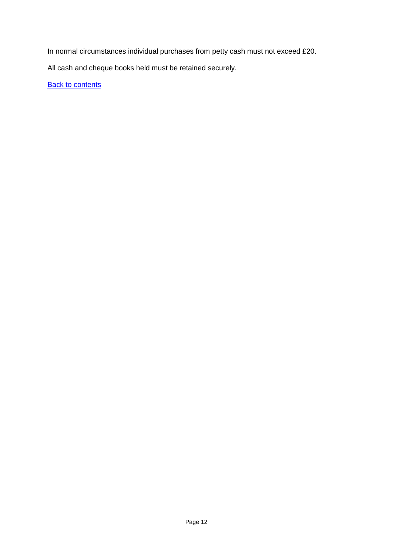In normal circumstances individual purchases from petty cash must not exceed £20.

All cash and cheque books held must be retained securely.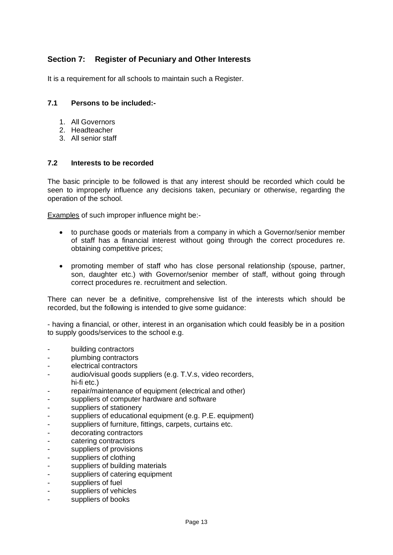# **Section 7: Register of Pecuniary and Other Interests**

It is a requirement for all schools to maintain such a Register.

## <span id="page-12-0"></span>**7.1 Persons to be included:-**

- 1. All Governors
- 2. Headteacher
- 3. All senior staff

## <span id="page-12-1"></span>**7.2 Interests to be recorded**

The basic principle to be followed is that any interest should be recorded which could be seen to improperly influence any decisions taken, pecuniary or otherwise, regarding the operation of the school.

Examples of such improper influence might be:-

- to purchase goods or materials from a company in which a Governor/senior member of staff has a financial interest without going through the correct procedures re. obtaining competitive prices;
- promoting member of staff who has close personal relationship (spouse, partner, son, daughter etc.) with Governor/senior member of staff, without going through correct procedures re. recruitment and selection.

There can never be a definitive, comprehensive list of the interests which should be recorded, but the following is intended to give some guidance:

- having a financial, or other, interest in an organisation which could feasibly be in a position to supply goods/services to the school e.g.

- building contractors
- plumbing contractors
- electrical contractors
- audio/visual goods suppliers (e.g. T.V.s, video recorders, hi-fi etc.)
- repair/maintenance of equipment (electrical and other)
- suppliers of computer hardware and software
- suppliers of stationery
- suppliers of educational equipment (e.g. P.E. equipment)
- suppliers of furniture, fittings, carpets, curtains etc.
- decorating contractors
- catering contractors
- suppliers of provisions
- suppliers of clothing
- suppliers of building materials
- suppliers of catering equipment
- suppliers of fuel
- suppliers of vehicles
- suppliers of books